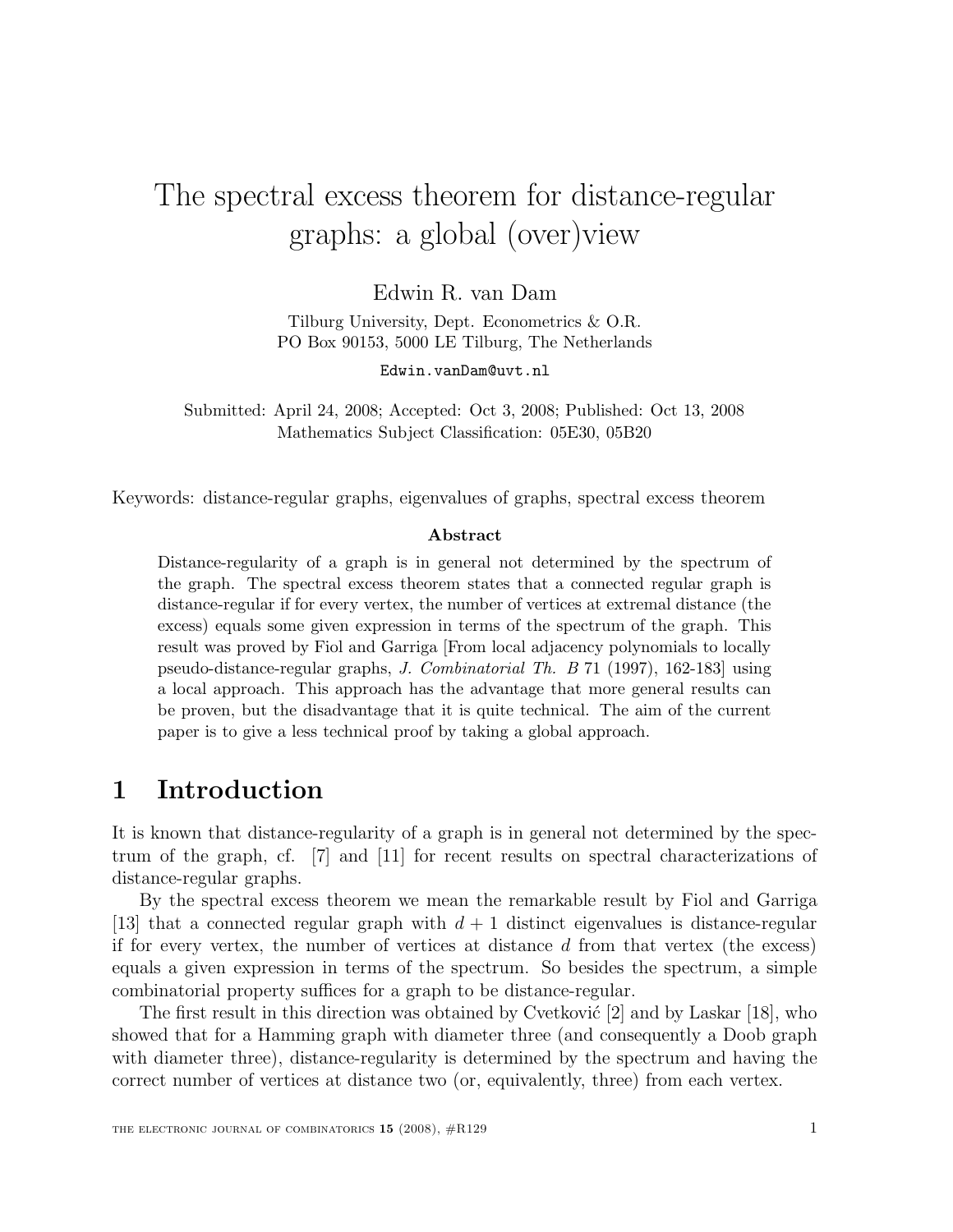# The spectral excess theorem for distance-regular graphs: a global (over)view

Edwin R. van Dam

Tilburg University, Dept. Econometrics & O.R. PO Box 90153, 5000 LE Tilburg, The Netherlands

Edwin.vanDam@uvt.nl

Submitted: April 24, 2008; Accepted: Oct 3, 2008; Published: Oct 13, 2008 Mathematics Subject Classification: 05E30, 05B20

Keywords: distance-regular graphs, eigenvalues of graphs, spectral excess theorem

#### Abstract

Distance-regularity of a graph is in general not determined by the spectrum of the graph. The spectral excess theorem states that a connected regular graph is distance-regular if for every vertex, the number of vertices at extremal distance (the excess) equals some given expression in terms of the spectrum of the graph. This result was proved by Fiol and Garriga [From local adjacency polynomials to locally pseudo-distance-regular graphs, J. Combinatorial Th. B 71 (1997), 162-183] using a local approach. This approach has the advantage that more general results can be proven, but the disadvantage that it is quite technical. The aim of the current paper is to give a less technical proof by taking a global approach.

# 1 Introduction

It is known that distance-regularity of a graph is in general not determined by the spectrum of the graph, cf. [7] and [11] for recent results on spectral characterizations of distance-regular graphs.

By the spectral excess theorem we mean the remarkable result by Fiol and Garriga [13] that a connected regular graph with  $d+1$  distinct eigenvalues is distance-regular if for every vertex, the number of vertices at distance  $d$  from that vertex (the excess) equals a given expression in terms of the spectrum. So besides the spectrum, a simple combinatorial property suffices for a graph to be distance-regular.

The first result in this direction was obtained by Cvetković  $[2]$  and by Laskar  $[18]$ , who showed that for a Hamming graph with diameter three (and consequently a Doob graph with diameter three), distance-regularity is determined by the spectrum and having the correct number of vertices at distance two (or, equivalently, three) from each vertex.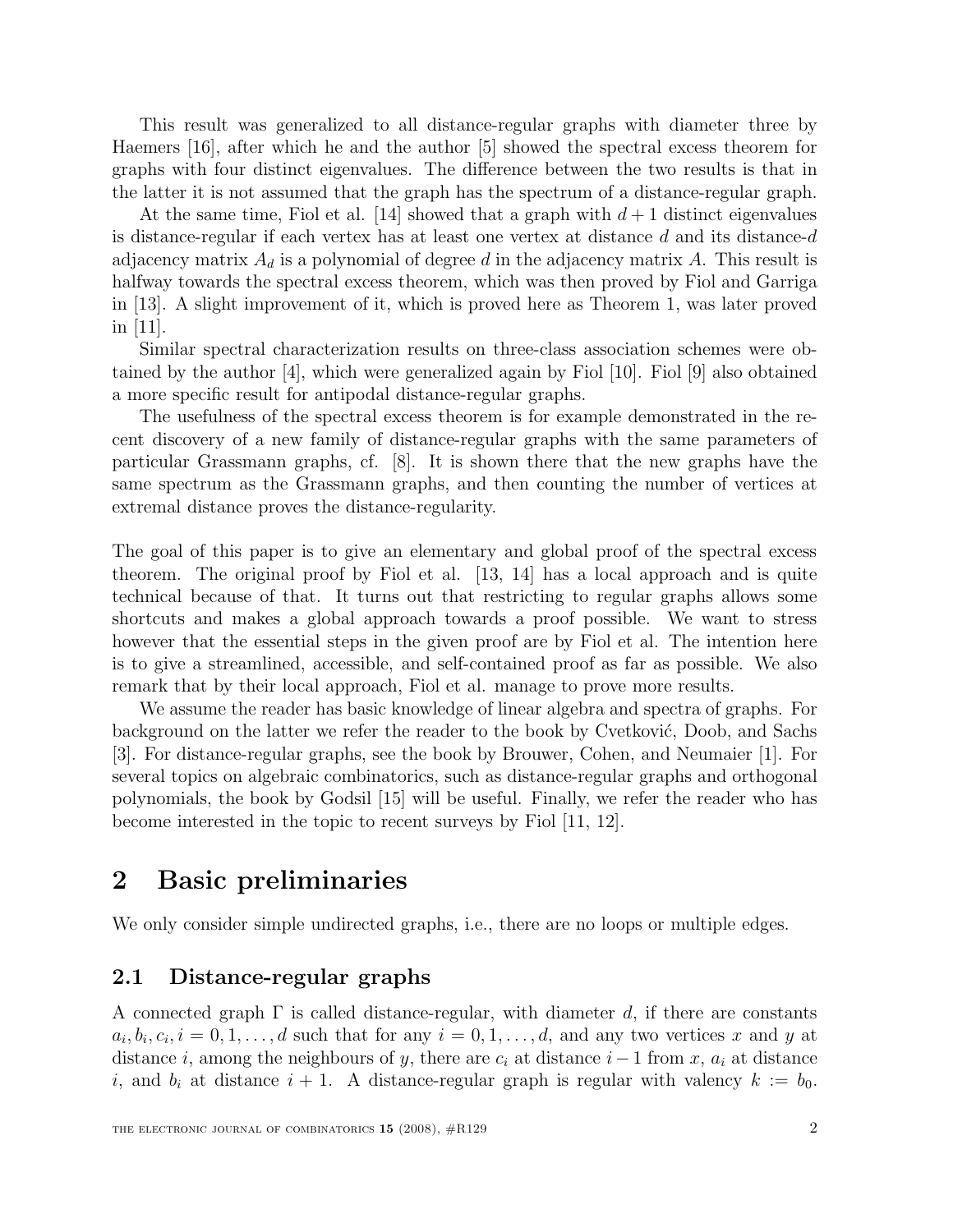This result was generalized to all distance-regular graphs with diameter three by Haemers [16], after which he and the author [5] showed the spectral excess theorem for graphs with four distinct eigenvalues. The difference between the two results is that in the latter it is not assumed that the graph has the spectrum of a distance-regular graph.

At the same time, Fiol et al. [14] showed that a graph with  $d+1$  distinct eigenvalues is distance-regular if each vertex has at least one vertex at distance d and its distance-d adjacency matrix  $A_d$  is a polynomial of degree d in the adjacency matrix A. This result is halfway towards the spectral excess theorem, which was then proved by Fiol and Garriga in [13]. A slight improvement of it, which is proved here as Theorem 1, was later proved in [11].

Similar spectral characterization results on three-class association schemes were obtained by the author [4], which were generalized again by Fiol [10]. Fiol [9] also obtained a more specific result for antipodal distance-regular graphs.

The usefulness of the spectral excess theorem is for example demonstrated in the recent discovery of a new family of distance-regular graphs with the same parameters of particular Grassmann graphs, cf. [8]. It is shown there that the new graphs have the same spectrum as the Grassmann graphs, and then counting the number of vertices at extremal distance proves the distance-regularity.

The goal of this paper is to give an elementary and global proof of the spectral excess theorem. The original proof by Fiol et al. [13, 14] has a local approach and is quite technical because of that. It turns out that restricting to regular graphs allows some shortcuts and makes a global approach towards a proof possible. We want to stress however that the essential steps in the given proof are by Fiol et al. The intention here is to give a streamlined, accessible, and self-contained proof as far as possible. We also remark that by their local approach, Fiol et al. manage to prove more results.

We assume the reader has basic knowledge of linear algebra and spectra of graphs. For background on the latter we refer the reader to the book by Cvetković, Doob, and Sachs [3]. For distance-regular graphs, see the book by Brouwer, Cohen, and Neumaier [1]. For several topics on algebraic combinatorics, such as distance-regular graphs and orthogonal polynomials, the book by Godsil [15] will be useful. Finally, we refer the reader who has become interested in the topic to recent surveys by Fiol [11, 12].

# 2 Basic preliminaries

We only consider simple undirected graphs, i.e., there are no loops or multiple edges.

#### 2.1 Distance-regular graphs

A connected graph  $\Gamma$  is called distance-regular, with diameter d, if there are constants  $a_i, b_i, c_i, i = 0, 1, \ldots, d$  such that for any  $i = 0, 1, \ldots, d$ , and any two vertices x and y at distance i, among the neighbours of y, there are  $c_i$  at distance  $i-1$  from x,  $a_i$  at distance i, and  $b_i$  at distance  $i + 1$ . A distance-regular graph is regular with valency  $k := b_0$ .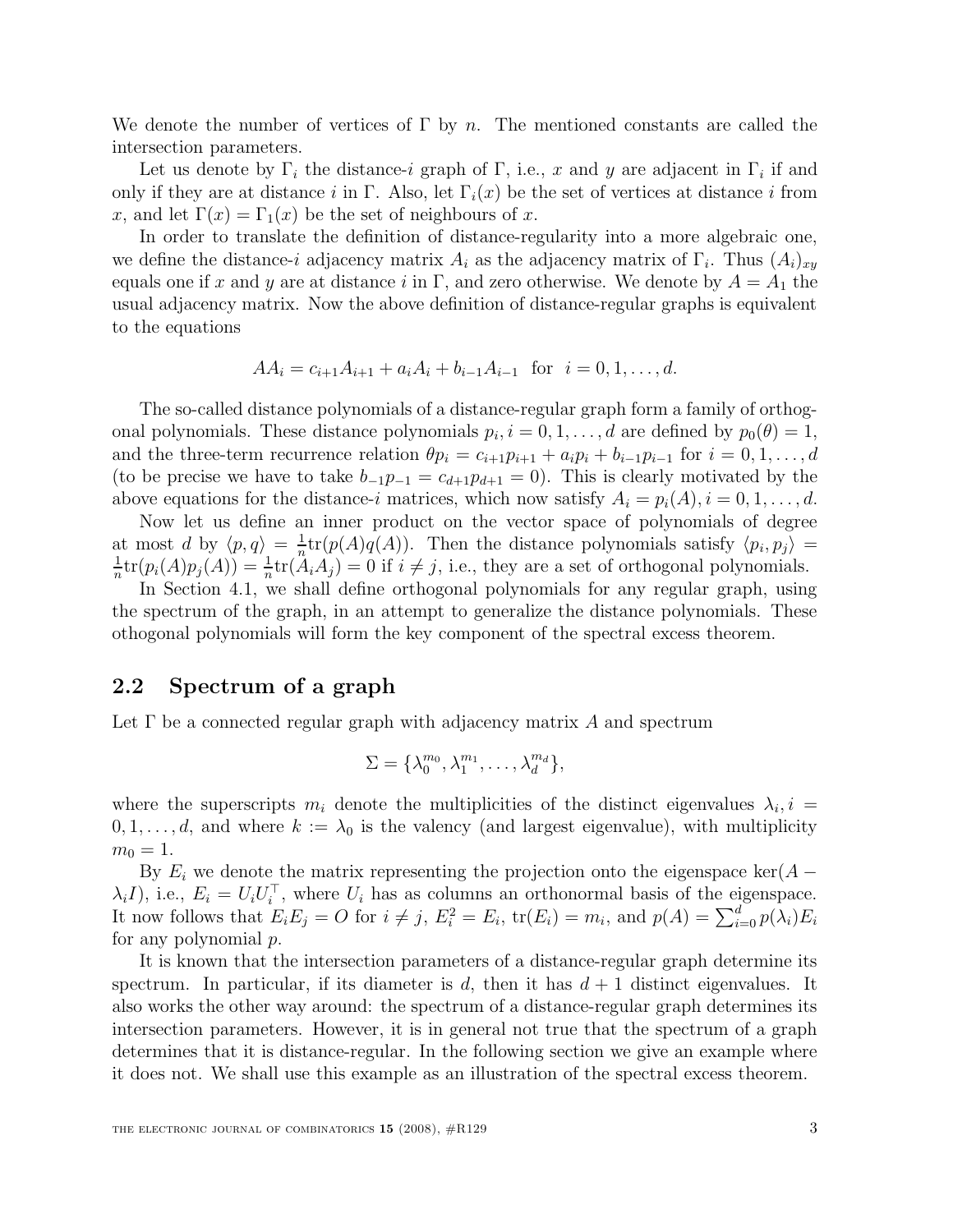We denote the number of vertices of  $\Gamma$  by n. The mentioned constants are called the intersection parameters.

Let us denote by  $\Gamma_i$  the distance-i graph of  $\Gamma$ , i.e., x and y are adjacent in  $\Gamma_i$  if and only if they are at distance i in Γ. Also, let  $\Gamma_i(x)$  be the set of vertices at distance i from x, and let  $\Gamma(x) = \Gamma_1(x)$  be the set of neighbours of x.

In order to translate the definition of distance-regularity into a more algebraic one, we define the distance-i adjacency matrix  $A_i$  as the adjacency matrix of  $\Gamma_i$ . Thus  $(A_i)_{xy}$ equals one if x and y are at distance i in Γ, and zero otherwise. We denote by  $A = A_1$  the usual adjacency matrix. Now the above definition of distance-regular graphs is equivalent to the equations

$$
AA_i = c_{i+1}A_{i+1} + a_iA_i + b_{i-1}A_{i-1} \text{ for } i = 0, 1, ..., d.
$$

The so-called distance polynomials of a distance-regular graph form a family of orthogonal polynomials. These distance polynomials  $p_i$ ,  $i = 0, 1, \ldots, d$  are defined by  $p_0(\theta) = 1$ , and the three-term recurrence relation  $\theta p_i = c_{i+1}p_{i+1} + a_i p_i + b_{i-1}p_{i-1}$  for  $i = 0, 1, \ldots, d$ (to be precise we have to take  $b_{-1}p_{-1} = c_{d+1}p_{d+1} = 0$ ). This is clearly motivated by the above equations for the distance-i matrices, which now satisfy  $A_i = p_i(A), i = 0, 1, \ldots, d$ .

Now let us define an inner product on the vector space of polynomials of degree at most d by  $\langle p, q \rangle = \frac{1}{n}$  $\frac{1}{n}$ tr( $p(A)q(A)$ ). Then the distance polynomials satisfy  $\langle p_i, p_j \rangle =$ 1  $\frac{1}{n}\text{tr}(p_i(A)p_j(A)) = \frac{1}{n}$  $\frac{1}{n}$ tr $(A_i A_j) = 0$  if  $i \neq j$ , i.e., they are a set of orthogonal polynomials.

In Section 4.1, we shall define orthogonal polynomials for any regular graph, using the spectrum of the graph, in an attempt to generalize the distance polynomials. These othogonal polynomials will form the key component of the spectral excess theorem.

#### 2.2 Spectrum of a graph

Let  $\Gamma$  be a connected regular graph with adjacency matrix A and spectrum

$$
\Sigma = {\lambda_0^{m_0}, \lambda_1^{m_1}, \ldots, \lambda_d^{m_d}}\},
$$

where the superscripts  $m_i$  denote the multiplicities of the distinct eigenvalues  $\lambda_i$ ,  $i =$  $0, 1, \ldots, d$ , and where  $k := \lambda_0$  is the valency (and largest eigenvalue), with multiplicity  $m_0 = 1.$ 

By  $E_i$  we denote the matrix representing the projection onto the eigenspace ker( $A \lambda_i I$ , i.e.,  $E_i = U_i U_i^{\top}$ , where  $U_i$  has as columns an orthonormal basis of the eigenspace. It now follows that  $E_i E_j = O$  for  $i \neq j$ ,  $E_i^2 = E_i$ ,  $tr(E_i) = m_i$ , and  $p(A) = \sum_{i=0}^d p(\lambda_i) E_i$ for any polynomial p.

It is known that the intersection parameters of a distance-regular graph determine its spectrum. In particular, if its diameter is d, then it has  $d + 1$  distinct eigenvalues. It also works the other way around: the spectrum of a distance-regular graph determines its intersection parameters. However, it is in general not true that the spectrum of a graph determines that it is distance-regular. In the following section we give an example where it does not. We shall use this example as an illustration of the spectral excess theorem.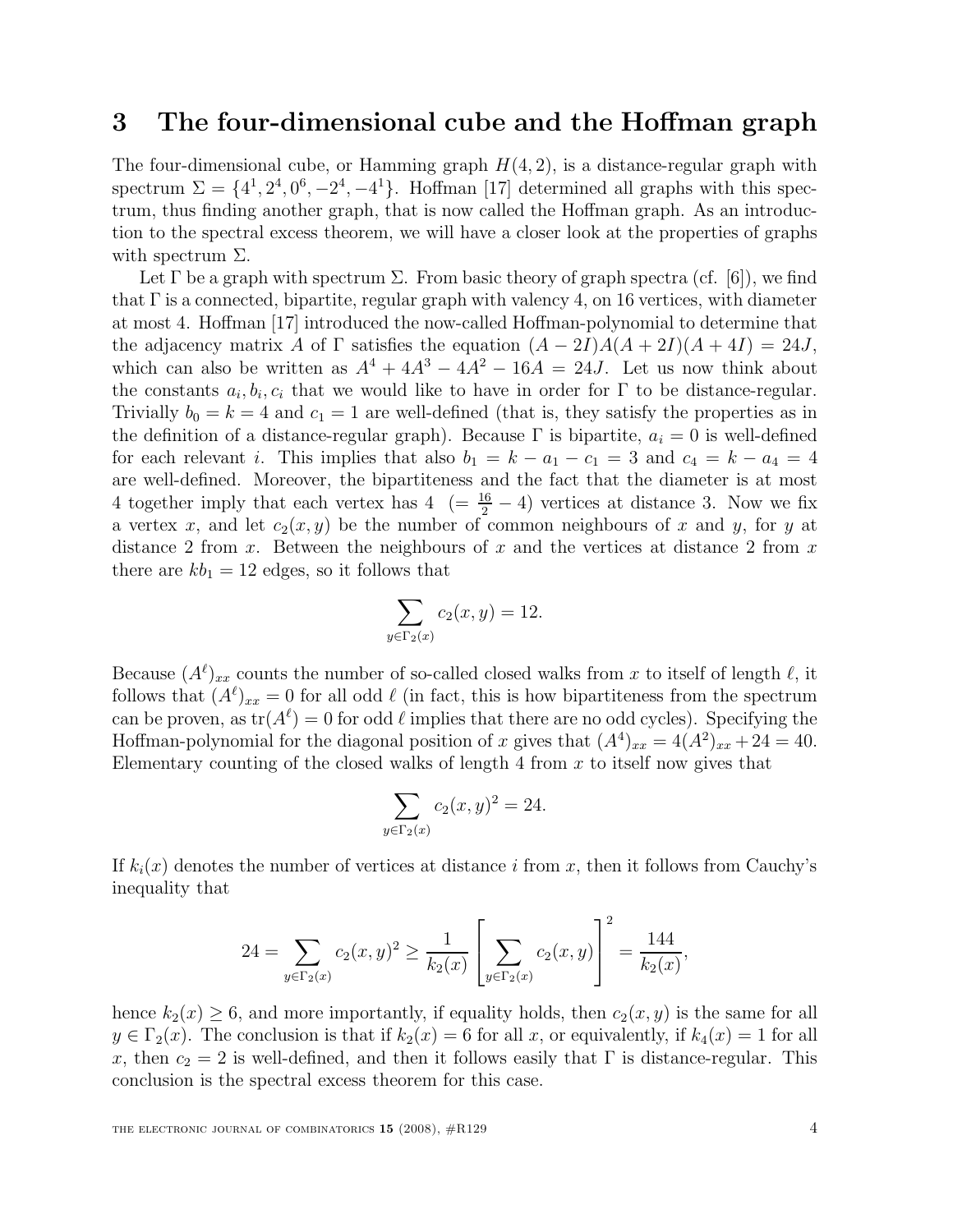## 3 The four-dimensional cube and the Hoffman graph

The four-dimensional cube, or Hamming graph  $H(4, 2)$ , is a distance-regular graph with spectrum  $\Sigma = \{4^1, 2^4, 0^6, -2^4, -4^1\}$ . Hoffman [17] determined all graphs with this spectrum, thus finding another graph, that is now called the Hoffman graph. As an introduction to the spectral excess theorem, we will have a closer look at the properties of graphs with spectrum  $\Sigma$ .

Let  $\Gamma$  be a graph with spectrum  $\Sigma$ . From basic theory of graph spectra (cf. [6]), we find that  $\Gamma$  is a connected, bipartite, regular graph with valency 4, on 16 vertices, with diameter at most 4. Hoffman [17] introduced the now-called Hoffman-polynomial to determine that the adjacency matrix A of  $\Gamma$  satisfies the equation  $(A - 2I)A(A + 2I)(A + 4I) = 24J$ , which can also be written as  $A^4 + 4A^3 - 4A^2 - 16A = 24J$ . Let us now think about the constants  $a_i, b_i, c_i$  that we would like to have in order for  $\Gamma$  to be distance-regular. Trivially  $b_0 = k = 4$  and  $c_1 = 1$  are well-defined (that is, they satisfy the properties as in the definition of a distance-regular graph). Because  $\Gamma$  is bipartite,  $a_i = 0$  is well-defined for each relevant i. This implies that also  $b_1 = k - a_1 - c_1 = 3$  and  $c_4 = k - a_4 = 4$ are well-defined. Moreover, the bipartiteness and the fact that the diameter is at most 4 together imply that each vertex has  $4 \left(=\frac{16}{2}-4\right)$  vertices at distance 3. Now we fix a vertex x, and let  $c_2(x, y)$  be the number of common neighbours of x and y, for y at distance 2 from x. Between the neighbours of x and the vertices at distance 2 from x there are  $kb_1 = 12$  edges, so it follows that

$$
\sum_{y \in \Gamma_2(x)} c_2(x, y) = 12.
$$

Because  $(A^{\ell})_{xx}$  counts the number of so-called closed walks from x to itself of length  $\ell$ , it follows that  $(A^{\ell})_{xx} = 0$  for all odd  $\ell$  (in fact, this is how bipartiteness from the spectrum can be proven, as  $tr(A^{\ell}) = 0$  for odd  $\ell$  implies that there are no odd cycles). Specifying the Hoffman-polynomial for the diagonal position of x gives that  $(A^4)_{xx} = 4(A^2)_{xx} + 24 = 40$ . Elementary counting of the closed walks of length 4 from  $x$  to itself now gives that

$$
\sum_{y \in \Gamma_2(x)} c_2(x, y)^2 = 24.
$$

If  $k_i(x)$  denotes the number of vertices at distance i from x, then it follows from Cauchy's inequality that

$$
24 = \sum_{y \in \Gamma_2(x)} c_2(x, y)^2 \ge \frac{1}{k_2(x)} \left[ \sum_{y \in \Gamma_2(x)} c_2(x, y) \right]^2 = \frac{144}{k_2(x)},
$$

hence  $k_2(x) \geq 6$ , and more importantly, if equality holds, then  $c_2(x, y)$  is the same for all  $y \in \Gamma_2(x)$ . The conclusion is that if  $k_2(x) = 6$  for all x, or equivalently, if  $k_4(x) = 1$  for all x, then  $c_2 = 2$  is well-defined, and then it follows easily that  $\Gamma$  is distance-regular. This conclusion is the spectral excess theorem for this case.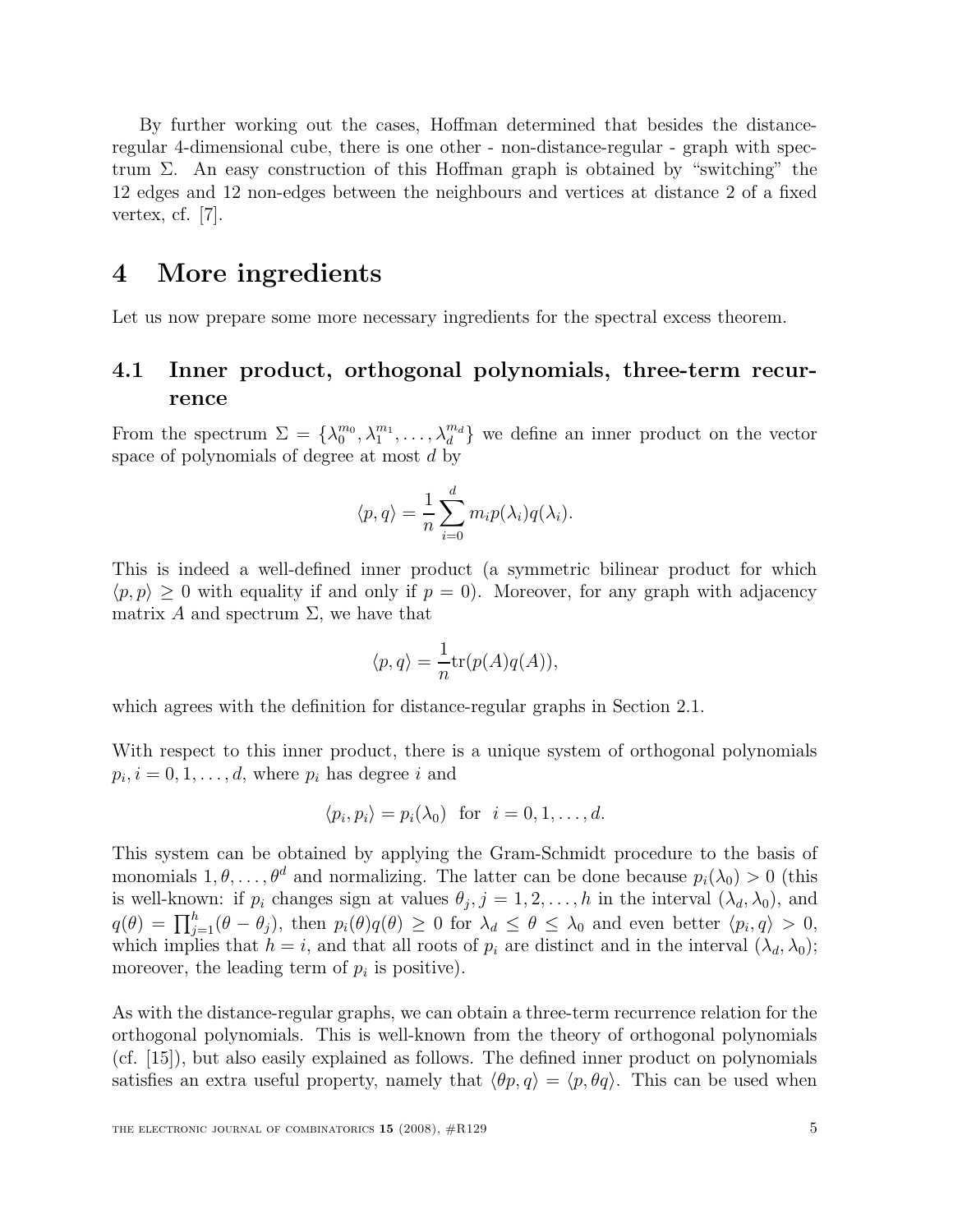By further working out the cases, Hoffman determined that besides the distanceregular 4-dimensional cube, there is one other - non-distance-regular - graph with spectrum Σ. An easy construction of this Hoffman graph is obtained by "switching" the 12 edges and 12 non-edges between the neighbours and vertices at distance 2 of a fixed vertex, cf. [7].

## 4 More ingredients

Let us now prepare some more necessary ingredients for the spectral excess theorem.

### 4.1 Inner product, orthogonal polynomials, three-term recurrence

From the spectrum  $\Sigma = {\lambda_0^{m_0}, \lambda_1^{m_1}, \ldots, \lambda_d^{m_d}}$  $\{a_d^{m_d}\}\$  we define an inner product on the vector space of polynomials of degree at most  $d$  by

$$
\langle p, q \rangle = \frac{1}{n} \sum_{i=0}^{d} m_i p(\lambda_i) q(\lambda_i).
$$

This is indeed a well-defined inner product (a symmetric bilinear product for which  $\langle p, p \rangle \geq 0$  with equality if and only if  $p = 0$ . Moreover, for any graph with adjacency matrix A and spectrum  $\Sigma$ , we have that

$$
\langle p, q \rangle = \frac{1}{n} \text{tr}(p(A)q(A)),
$$

which agrees with the definition for distance-regular graphs in Section 2.1.

With respect to this inner product, there is a unique system of orthogonal polynomials  $p_i, i = 0, 1, \ldots, d$ , where  $p_i$  has degree i and

$$
\langle p_i, p_i \rangle = p_i(\lambda_0)
$$
 for  $i = 0, 1, ..., d$ .

This system can be obtained by applying the Gram-Schmidt procedure to the basis of monomials  $1, \theta, \ldots, \theta^d$  and normalizing. The latter can be done because  $p_i(\lambda_0) > 0$  (this is well-known: if  $p_i$  changes sign at values  $\theta_j$ ,  $j = 1, 2, \ldots, h$  in the interval  $(\lambda_d, \lambda_0)$ , and  $q(\theta) = \prod_{j=1}^{h} (\theta - \theta_j)$ , then  $p_i(\theta)q(\theta) \geq 0$  for  $\lambda_d \leq \theta \leq \lambda_0$  and even better  $\langle p_i, q \rangle > 0$ , which implies that  $h = i$ , and that all roots of  $p_i$  are distinct and in the interval  $(\lambda_d, \lambda_0)$ ; moreover, the leading term of  $p_i$  is positive).

As with the distance-regular graphs, we can obtain a three-term recurrence relation for the orthogonal polynomials. This is well-known from the theory of orthogonal polynomials (cf. [15]), but also easily explained as follows. The defined inner product on polynomials satisfies an extra useful property, namely that  $\langle \theta p, q \rangle = \langle p, \theta q \rangle$ . This can be used when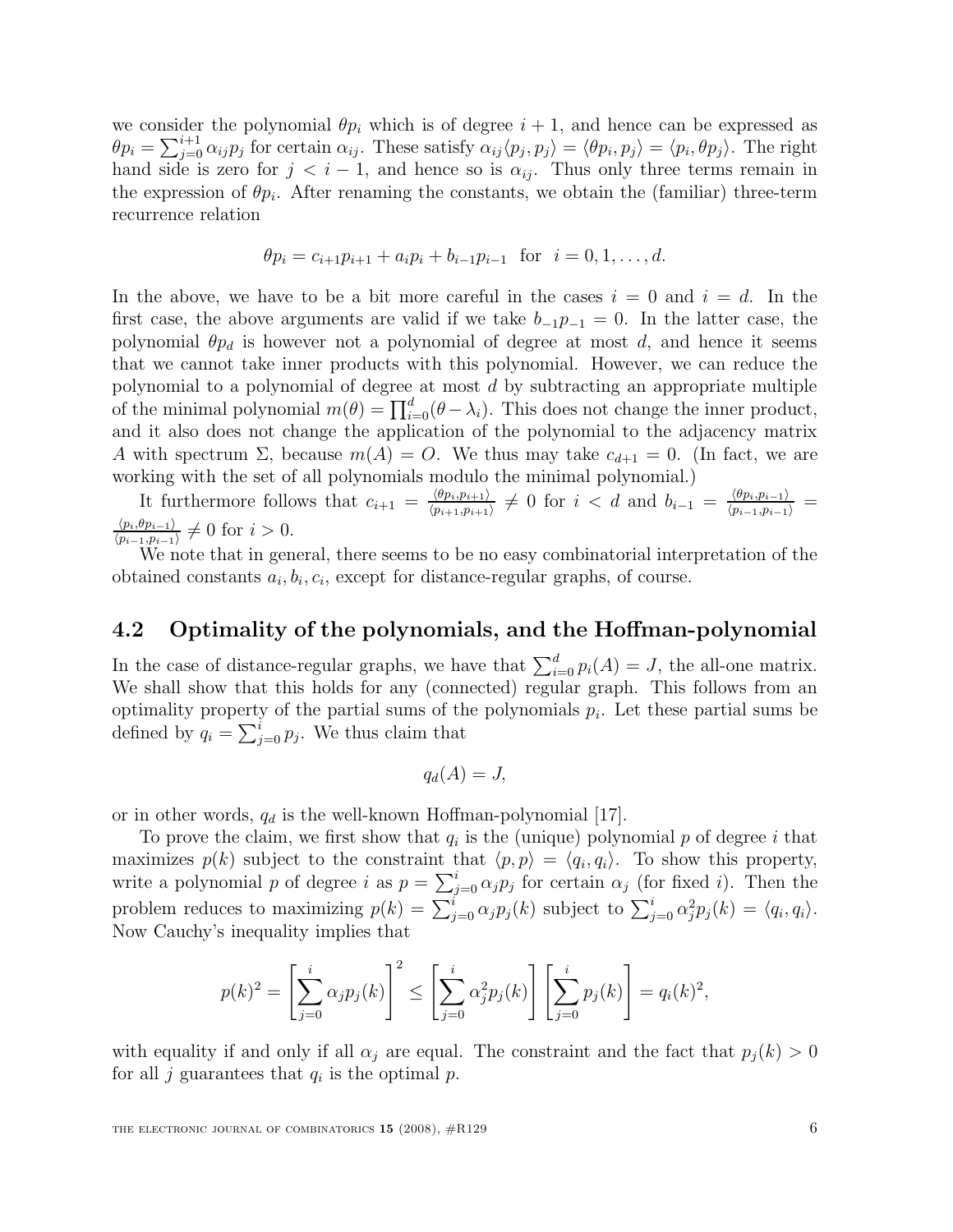we consider the polynomial  $\theta p_i$  which is of degree  $i + 1$ , and hence can be expressed as  $\theta p_i = \sum_{j=0}^{i+1} \alpha_{ij} p_j$  for certain  $\alpha_{ij}$ . These satisfy  $\alpha_{ij} \langle p_j, p_j \rangle = \langle \theta p_i, p_j \rangle = \langle p_i, \theta p_j \rangle$ . The right hand side is zero for  $j < i - 1$ , and hence so is  $\alpha_{ij}$ . Thus only three terms remain in the expression of  $\theta p_i$ . After renaming the constants, we obtain the (familiar) three-term recurrence relation

$$
\theta p_i = c_{i+1}p_{i+1} + a_i p_i + b_{i-1}p_{i-1}
$$
 for  $i = 0, 1, ..., d$ .

In the above, we have to be a bit more careful in the cases  $i = 0$  and  $i = d$ . In the first case, the above arguments are valid if we take  $b_{-1}p_{-1} = 0$ . In the latter case, the polynomial  $\theta p_d$  is however not a polynomial of degree at most d, and hence it seems that we cannot take inner products with this polynomial. However, we can reduce the polynomial to a polynomial of degree at most d by subtracting an appropriate multiple of the minimal polynomial  $m(\theta) = \prod_{i=0}^{d} (\theta - \lambda_i)$ . This does not change the inner product, and it also does not change the application of the polynomial to the adjacency matrix A with spectrum  $\Sigma$ , because  $m(A) = O$ . We thus may take  $c_{d+1} = 0$ . (In fact, we are working with the set of all polynomials modulo the minimal polynomial.)

It furthermore follows that  $c_{i+1} = \frac{\langle \theta p_i, p_{i+1} \rangle}{\langle p_{i+1}, p_{i+1} \rangle}$  $\frac{\langle \theta p_i, p_{i+1} \rangle}{\langle p_{i+1}, p_{i+1} \rangle} \neq 0$  for  $i < d$  and  $b_{i-1} = \frac{\langle \theta p_i, p_{i-1} \rangle}{\langle p_{i-1}, p_{i-1} \rangle} =$  $\langle p_i,\theta p_{i-1}\rangle$  $\frac{\langle p_i, \theta p_{i-1} \rangle}{\langle p_{i-1}, p_{i-1} \rangle} \neq 0$  for  $i > 0$ .

We note that in general, there seems to be no easy combinatorial interpretation of the obtained constants  $a_i, b_i, c_i$ , except for distance-regular graphs, of course.

#### 4.2 Optimality of the polynomials, and the Hoffman-polynomial

In the case of distance-regular graphs, we have that  $\sum_{i=0}^{d} p_i(A) = J$ , the all-one matrix. We shall show that this holds for any (connected) regular graph. This follows from an optimality property of the partial sums of the polynomials  $p<sub>i</sub>$ . Let these partial sums be defined by  $q_i = \sum_{j=0}^{i} p_j$ . We thus claim that

$$
q_d(A)=J,
$$

or in other words,  $q_d$  is the well-known Hoffman-polynomial [17].

To prove the claim, we first show that  $q_i$  is the (unique) polynomial p of degree i that maximizes  $p(k)$  subject to the constraint that  $\langle p, p \rangle = \langle q_i, q_i \rangle$ . To show this property, write a polynomial p of degree i as  $p = \sum_{j=0}^{i} \alpha_j p_j$  for certain  $\alpha_j$  (for fixed i). Then the problem reduces to maximizing  $p(k) = \sum_{j=0}^{i} \alpha_j p_j(k)$  subject to  $\sum_{j=0}^{i} \alpha_j^2 p_j(k) = \langle q_i, q_i \rangle$ . Now Cauchy's inequality implies that

$$
p(k)^{2} = \left[\sum_{j=0}^{i} \alpha_{j} p_{j}(k)\right]^{2} \le \left[\sum_{j=0}^{i} \alpha_{j}^{2} p_{j}(k)\right] \left[\sum_{j=0}^{i} p_{j}(k)\right] = q_{i}(k)^{2},
$$

with equality if and only if all  $\alpha_i$  are equal. The constraint and the fact that  $p_i(k) > 0$ for all j guarantees that  $q_i$  is the optimal p.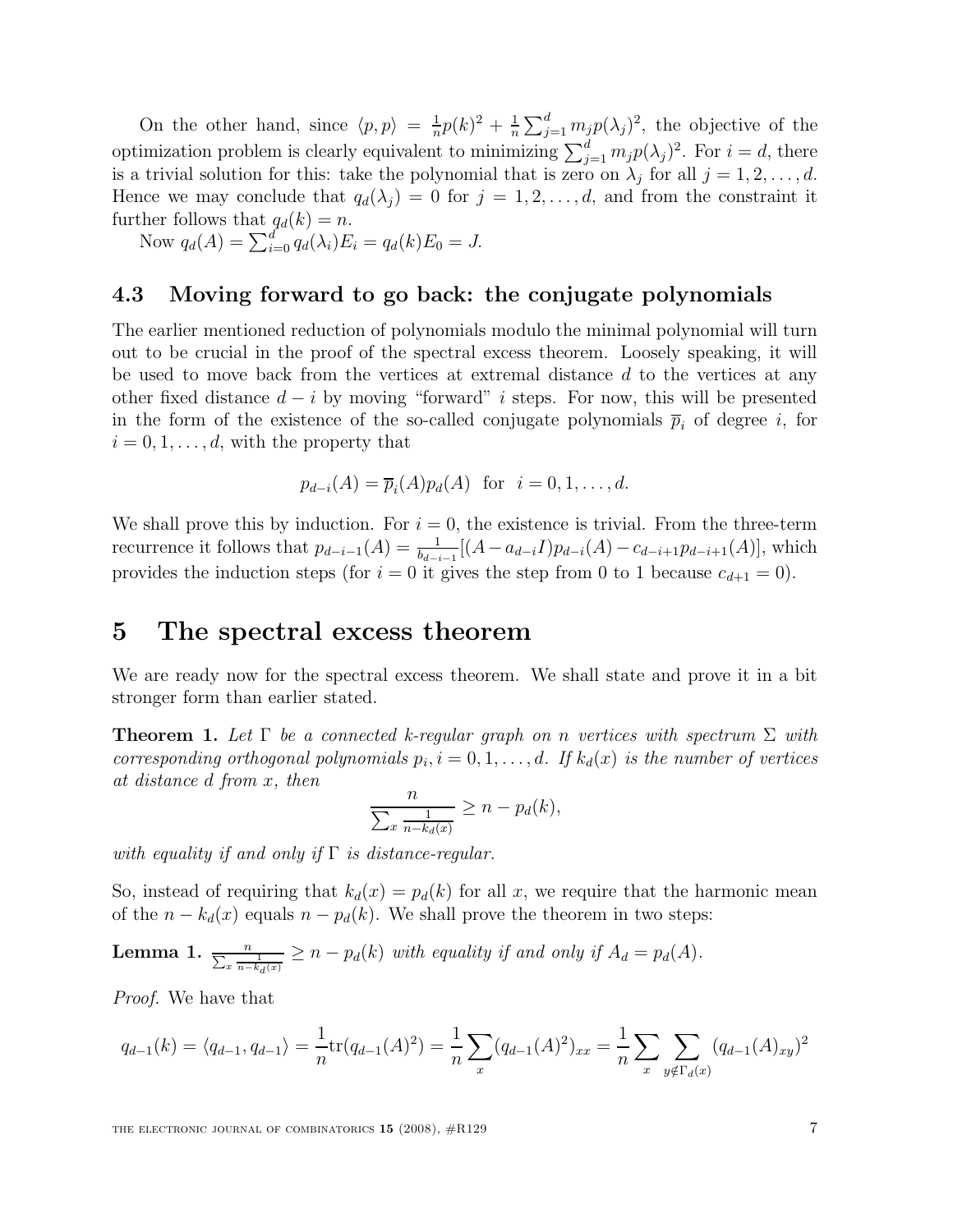On the other hand, since  $\langle p, p \rangle = \frac{1}{n}$  $\frac{1}{n}p(k)^2 + \frac{1}{n}$  $\frac{1}{n}\sum_{j=1}^d m_j p(\lambda_j)^2$ , the objective of the optimization problem is clearly equivalent to minimizing  $\sum_{j=1}^{d} m_j p(\lambda_j)^2$ . For  $i = d$ , there is a trivial solution for this: take the polynomial that is zero on  $\lambda_j$  for all  $j = 1, 2, \ldots, d$ . Hence we may conclude that  $q_d(\lambda_i) = 0$  for  $j = 1, 2, \ldots, d$ , and from the constraint it further follows that  $q_d(k) = n$ .

Now  $q_d(A) = \sum_{i=0}^d q_d(\lambda_i) E_i = q_d(k) E_0 = J$ .

#### 4.3 Moving forward to go back: the conjugate polynomials

The earlier mentioned reduction of polynomials modulo the minimal polynomial will turn out to be crucial in the proof of the spectral excess theorem. Loosely speaking, it will be used to move back from the vertices at extremal distance  $d$  to the vertices at any other fixed distance  $d - i$  by moving "forward" i steps. For now, this will be presented in the form of the existence of the so-called conjugate polynomials  $\bar{p}_i$  of degree i, for  $i = 0, 1, \ldots, d$ , with the property that

$$
p_{d-i}(A) = \overline{p}_i(A)p_d(A) \text{ for } i = 0, 1, \dots, d.
$$

We shall prove this by induction. For  $i = 0$ , the existence is trivial. From the three-term recurrence it follows that  $p_{d-i-1}(A) = \frac{1}{b-i}$  $\frac{1}{b_{d-i-1}}[(A-a_{d-i}I)p_{d-i}(A)-c_{d-i+1}p_{d-i+1}(A)],$  which provides the induction steps (for  $i = 0$  it gives the step from 0 to 1 because  $c_{d+1} = 0$ ).

## 5 The spectral excess theorem

We are ready now for the spectral excess theorem. We shall state and prove it in a bit stronger form than earlier stated.

**Theorem 1.** Let  $\Gamma$  be a connected k-regular graph on n vertices with spectrum  $\Sigma$  with corresponding orthogonal polynomials  $p_i$ ,  $i = 0, 1, \ldots, d$ . If  $k_d(x)$  is the number of vertices at distance d from x, then

$$
\frac{n}{\sum_{x} \frac{1}{n-k_d(x)}} \ge n - p_d(k),
$$

with equality if and only if  $\Gamma$  is distance-regular.

So, instead of requiring that  $k_d(x) = p_d(k)$  for all x, we require that the harmonic mean of the  $n - k_d(x)$  equals  $n - p_d(k)$ . We shall prove the theorem in two steps:

**Lemma 1.** 
$$
\frac{n}{\sum_x \frac{1}{n-k_d(x)}} \geq n - p_d(k)
$$
 with equality if and only if  $A_d = p_d(A)$ .

Proof. We have that

$$
q_{d-1}(k) = \langle q_{d-1}, q_{d-1} \rangle = \frac{1}{n} tr(q_{d-1}(A)^2) = \frac{1}{n} \sum_{x} (q_{d-1}(A)^2)_{xx} = \frac{1}{n} \sum_{x} \sum_{y \notin \Gamma_d(x)} (q_{d-1}(A)_{xy})^2
$$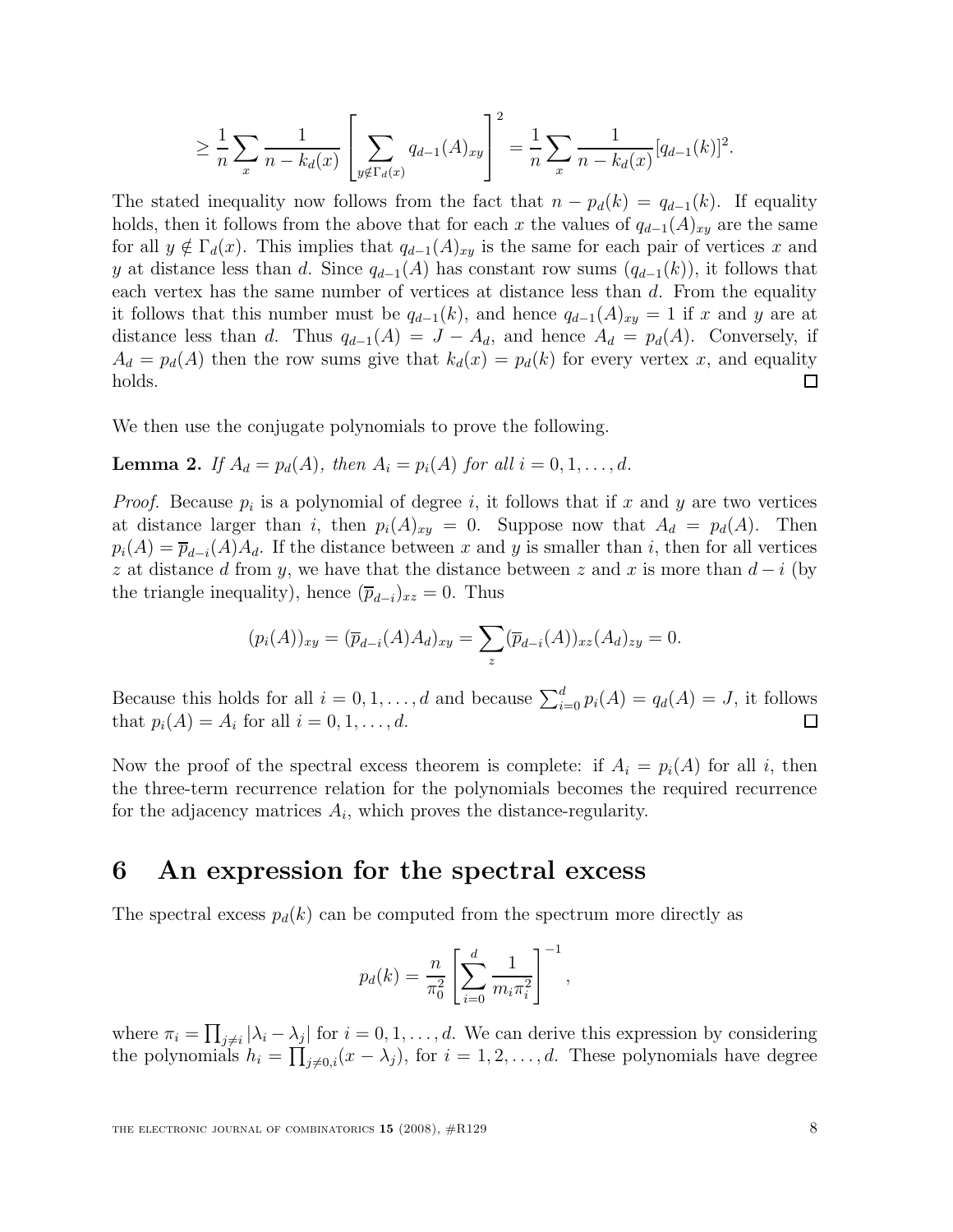$$
\geq \frac{1}{n} \sum_{x} \frac{1}{n - k_d(x)} \left[ \sum_{y \notin \Gamma_d(x)} q_{d-1}(A)_{xy} \right]^2 = \frac{1}{n} \sum_{x} \frac{1}{n - k_d(x)} [q_{d-1}(k)]^2.
$$

The stated inequality now follows from the fact that  $n - p_d(k) = q_{d-1}(k)$ . If equality holds, then it follows from the above that for each x the values of  $q_{d-1}(A)_{xy}$  are the same for all  $y \notin \Gamma_d(x)$ . This implies that  $q_{d-1}(A)_{xy}$  is the same for each pair of vertices x and y at distance less than d. Since  $q_{d-1}(A)$  has constant row sums  $(q_{d-1}(k))$ , it follows that each vertex has the same number of vertices at distance less than  $d$ . From the equality it follows that this number must be  $q_{d-1}(k)$ , and hence  $q_{d-1}(A)_{xy} = 1$  if x and y are at distance less than d. Thus  $q_{d-1}(A) = J - A_d$ , and hence  $A_d = p_d(A)$ . Conversely, if  $A_d = p_d(A)$  then the row sums give that  $k_d(x) = p_d(k)$  for every vertex x, and equality holds. □

We then use the conjugate polynomials to prove the following.

**Lemma 2.** If  $A_d = p_d(A)$ , then  $A_i = p_i(A)$  for all  $i = 0, 1, \ldots, d$ .

*Proof.* Because  $p_i$  is a polynomial of degree i, it follows that if x and y are two vertices at distance larger than i, then  $p_i(A)_{xy} = 0$ . Suppose now that  $A_d = p_d(A)$ . Then  $p_i(A) = \overline{p}_{d-i}(A)A_d$ . If the distance between x and y is smaller than i, then for all vertices z at distance d from y, we have that the distance between z and x is more than  $d - i$  (by the triangle inequality), hence  $(\overline{p}_{d-i})_{xz} = 0$ . Thus

$$
(p_i(A))_{xy} = (\overline{p}_{d-i}(A)A_d)_{xy} = \sum_z (\overline{p}_{d-i}(A))_{xz}(A_d)_{zy} = 0.
$$

Because this holds for all  $i = 0, 1, ..., d$  and because  $\sum_{i=0}^{d} p_i(A) = q_d(A) = J$ , it follows that  $p_i(A) = A_i$  for all  $i = 0, 1, \ldots, d$ .

Now the proof of the spectral excess theorem is complete: if  $A_i = p_i(A)$  for all i, then the three-term recurrence relation for the polynomials becomes the required recurrence for the adjacency matrices  $A_i$ , which proves the distance-regularity.

# 6 An expression for the spectral excess

The spectral excess  $p_d(k)$  can be computed from the spectrum more directly as

$$
p_d(k) = \frac{n}{\pi_0^2} \left[ \sum_{i=0}^d \frac{1}{m_i \pi_i^2} \right]^{-1},
$$

where  $\pi_i = \prod_{j \neq i} |\lambda_i - \lambda_j|$  for  $i = 0, 1, ..., d$ . We can derive this expression by considering the polynomials  $h_i = \prod_{j \neq 0,i} (x - \lambda_j)$ , for  $i = 1, 2, ..., d$ . These polynomials have degree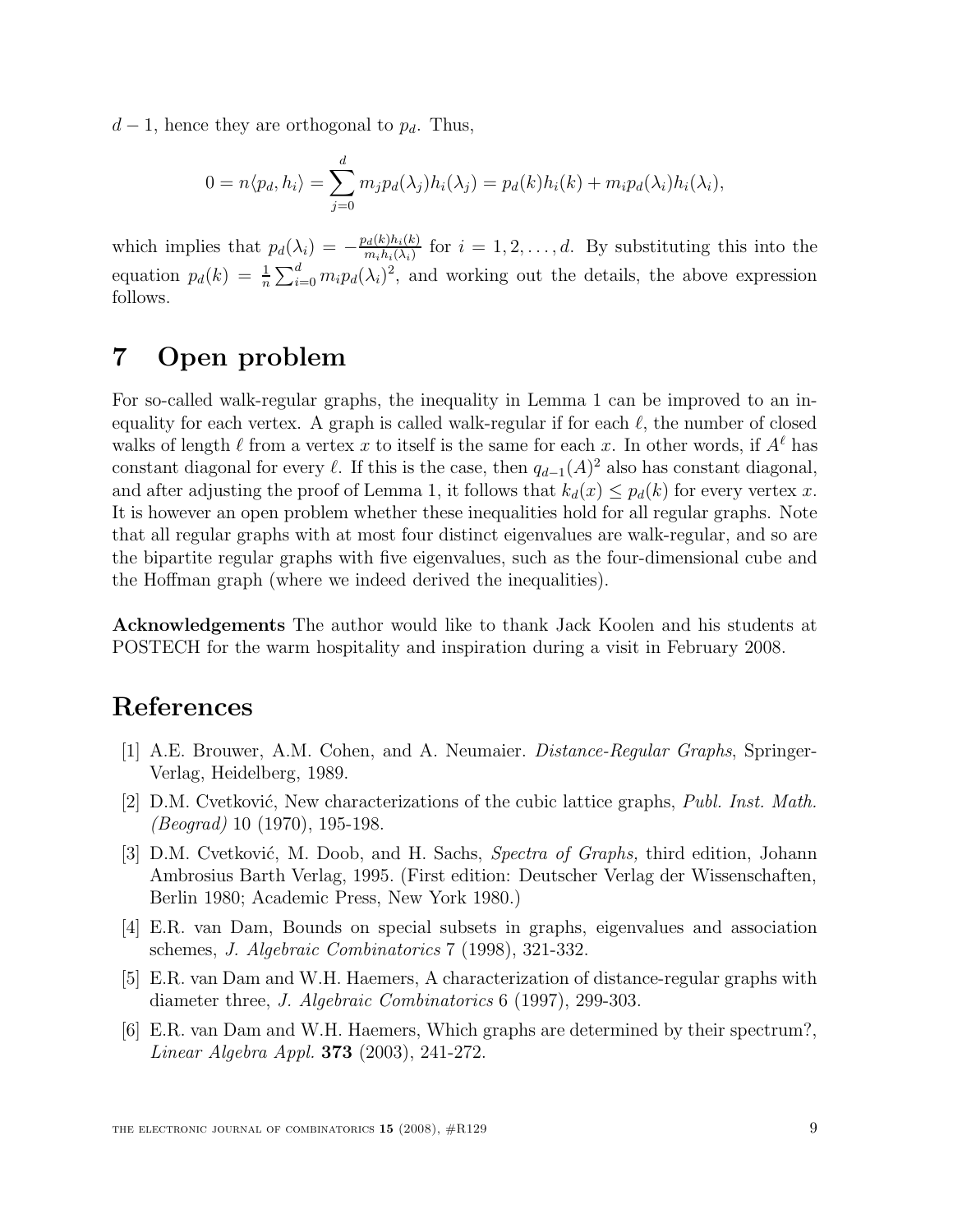$d-1$ , hence they are orthogonal to  $p_d$ . Thus,

$$
0 = n \langle p_d, h_i \rangle = \sum_{j=0}^d m_j p_d(\lambda_j) h_i(\lambda_j) = p_d(k) h_i(k) + m_i p_d(\lambda_i) h_i(\lambda_i),
$$

which implies that  $p_d(\lambda_i) = -\frac{p_d(k)h_i(k)}{m_i h_i(\lambda_i)}$  $\frac{d_{d}(k)n_{i}(k)}{m_{i}h_{i}(\lambda_{i})}$  for  $i=1,2,\ldots,d$ . By substituting this into the equation  $p_d(k) = \frac{1}{n}$  $\frac{1}{n} \sum_{i=0}^{d} m_i p_d(\lambda_i)^2$ , and working out the details, the above expression follows.

# 7 Open problem

For so-called walk-regular graphs, the inequality in Lemma 1 can be improved to an inequality for each vertex. A graph is called walk-regular if for each  $\ell$ , the number of closed walks of length  $\ell$  from a vertex x to itself is the same for each x. In other words, if  $A^{\ell}$  has constant diagonal for every  $\ell$ . If this is the case, then  $q_{d-1}(A)^2$  also has constant diagonal, and after adjusting the proof of Lemma 1, it follows that  $k_d(x) \leq p_d(k)$  for every vertex x. It is however an open problem whether these inequalities hold for all regular graphs. Note that all regular graphs with at most four distinct eigenvalues are walk-regular, and so are the bipartite regular graphs with five eigenvalues, such as the four-dimensional cube and the Hoffman graph (where we indeed derived the inequalities).

Acknowledgements The author would like to thank Jack Koolen and his students at POSTECH for the warm hospitality and inspiration during a visit in February 2008.

# References

- [1] A.E. Brouwer, A.M. Cohen, and A. Neumaier. Distance-Regular Graphs, Springer-Verlag, Heidelberg, 1989.
- [2] D.M. Cvetković, New characterizations of the cubic lattice graphs, *Publ. Inst. Math.* (Beograd) 10 (1970), 195-198.
- [3] D.M. Cvetković, M. Doob, and H. Sachs, Spectra of Graphs, third edition, Johann Ambrosius Barth Verlag, 1995. (First edition: Deutscher Verlag der Wissenschaften, Berlin 1980; Academic Press, New York 1980.)
- [4] E.R. van Dam, Bounds on special subsets in graphs, eigenvalues and association schemes, J. Algebraic Combinatorics 7 (1998), 321-332.
- [5] E.R. van Dam and W.H. Haemers, A characterization of distance-regular graphs with diameter three, J. Algebraic Combinatorics 6 (1997), 299-303.
- [6] E.R. van Dam and W.H. Haemers, Which graphs are determined by their spectrum?, Linear Algebra Appl. 373 (2003), 241-272.